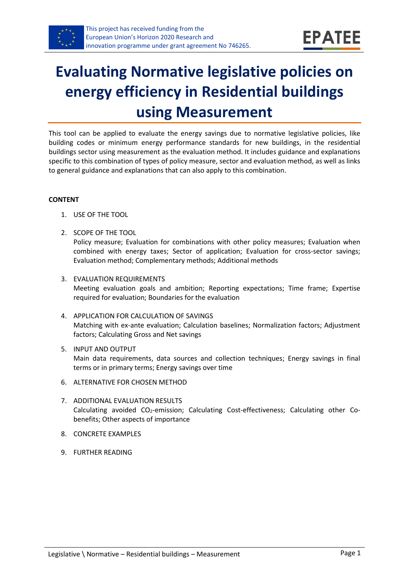

# **Evaluating Normative legislative policies on energy efficiency in Residential buildings using Measurement**

This tool can be applied to evaluate the energy savings due to normative legislative policies, like building codes or minimum energy performance standards for new buildings, in the residential buildings sector using measurement as the evaluation method. It includes guidance and explanations specific to this combination of types of policy measure, sector and evaluation method, as well as links to general guidance and explanations that can also apply to this combination.

#### **CONTENT**

- 1. USE OF THE TOOL
- <span id="page-0-1"></span>2. SCOPE OF THE TOOL Policy measure; Evaluation for combinations with other policy measures; Evaluation when combined with energy taxes; Sector of application; Evaluation for cross-sector savings; Evaluation method; Complementary methods; Additional methods
- <span id="page-0-2"></span>3. EVALUATION REQUIREMENTS Meeting evaluation goals and ambition; Reporting expectations; Time frame; Expertise required for evaluation; Boundaries for the evaluation
- <span id="page-0-3"></span>4. APPLICATION FOR CALCULATION OF SAVINGS Matching with ex-ante evaluation; Calculation baselines; Normalization factors; Adjustment factors; Calculating Gross and Net savings
- <span id="page-0-4"></span>5. INPUT AND OUTPUT Main data requirements, data sources and collection techniques; Energy savings in final terms or in primary terms; Energy savings over time
- <span id="page-0-0"></span>6. ALTERNATIVE FOR CHOSEN METHOD
- <span id="page-0-5"></span>7. ADDITIONAL EVALUATION RESULTS Calculating avoided CO<sub>2</sub>-emission; Calculating Cost-effectiveness; Calculating other Cobenefits; Other aspects of importance
- <span id="page-0-6"></span>8. CONCRETE EXAMPLES
- <span id="page-0-7"></span>9. FURTHER READING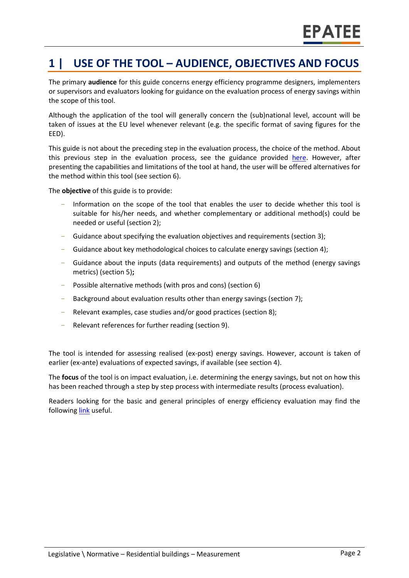# **1 | USE OF THE TOOL – AUDIENCE, OBJECTIVES AND FOCUS**

The primary **audience** for this guide concerns energy efficiency programme designers, implementers or supervisors and evaluators looking for guidance on the evaluation process of energy savings within the scope of this tool.

Although the application of the tool will generally concern the (sub)national level, account will be taken of issues at the EU level whenever relevant (e.g. the specific format of saving figures for the EED).

This guide is not about the preceding step in the evaluation process, the choice of the method. About this previous step in the evaluation process, see the guidance provided [here.](https://www.epatee-toolbox.eu/wp-content/uploads/2019/04/epatee_integrating_evaluation_into_policy_cycle.pdf) However, after presenting the capabilities and limitations of the tool at hand, the user will be offered alternatives for the method within this tool (see sectio[n 6\)](#page-0-0).

The **objective** of this guide is to provide:

- Information on the scope of the tool that enables the user to decide whether this tool is suitable for his/her needs, and whether complementary or additional method(s) could be needed or useful (sectio[n 2\)](#page-0-1);
- Guidance about specifying the evaluation objectives and requirements (section [3\)](#page-0-2);
- Guidance about key methodological choices to calculate energy savings (section [4\)](#page-0-3);
- Guidance about the inputs (data requirements) and outputs of the method (energy savings metrics) (sectio[n 5\)](#page-0-4)**;**
- Possible alternative methods (with pros and cons) (section [6\)](#page-0-0)
- Background about evaluation results other than energy savings (sectio[n 7\)](#page-0-5);
- Relevant examples, case studies and/or good practices (section [8\)](#page-0-6);
- Relevant references for further reading (section [9\)](#page-0-7).

The tool is intended for assessing realised (ex-post) energy savings. However, account is taken of earlier (ex-ante) evaluations of expected savings, if available (see section [4\)](#page-0-3).

The **focus** of the tool is on impact evaluation, i.e. determining the energy savings, but not on how this has been reached through a step by step process with intermediate results (process evaluation).

Readers looking for the basic and general principles of energy efficiency evaluation may find the followin[g link](https://www.epatee-toolbox.eu/evaluation-principles-and-methods/) useful.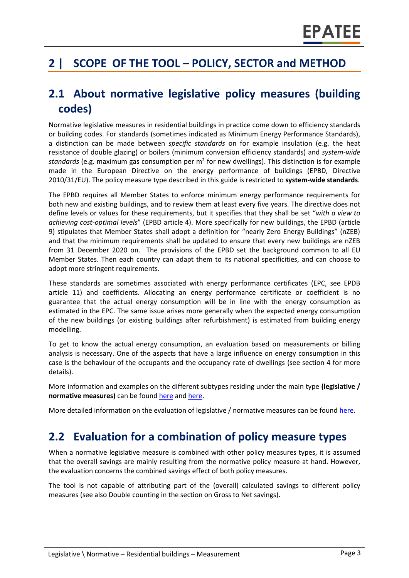# **2 | SCOPE OF THE TOOL – POLICY, SECTOR and METHOD**

### **2.1 About normative legislative policy measures (building codes)**

Normative legislative measures in residential buildings in practice come down to efficiency standards or building codes. For standards (sometimes indicated as Minimum Energy Performance Standards), a distinction can be made between *specific standards* on for example insulation (e.g. the heat resistance of double glazing) or boilers (minimum conversion efficiency standards) and *system-wide standards* (e.g. maximum gas consumption per m² for new dwellings). This distinction is for example made in the European Directive on the energy performance of buildings (EPBD, Directive 2010/31/EU). The policy measure type described in this guide is restricted to **system-wide standards**.

The EPBD requires all Member States to enforce minimum energy performance requirements for both new and existing buildings, and to review them at least every five years. The directive does not define levels or values for these requirements, but it specifies that they shall be set "*with a view to achieving cost-optimal levels*" (EPBD article 4). More specifically for new buildings, the EPBD (article 9) stipulates that Member States shall adopt a definition for "nearly Zero Energy Buildings" (nZEB) and that the minimum requirements shall be updated to ensure that every new buildings are nZEB from 31 December 2020 on. The provisions of the EPBD set the background common to all EU Member States. Then each country can adapt them to its national specificities, and can choose to adopt more stringent requirements.

These standards are sometimes associated with energy performance certificates (EPC, see EPDB article 11) and coefficients. Allocating an energy performance certificate or coefficient is no guarantee that the actual energy consumption will be in line with the energy consumption as estimated in the EPC. The same issue arises more generally when the expected energy consumption of the new buildings (or existing buildings after refurbishment) is estimated from building energy modelling.

To get to know the actual energy consumption, an evaluation based on measurements or billing analysis is necessary. One of the aspects that have a large influence on energy consumption in this case is the behaviour of the occupants and the occupancy rate of dwellings (see section 4 for more details).

More information and examples on the different subtypes residing under the main type **(legislative / normative measures)** can be foun[d here](http://www.measures-odyssee-mure.eu/) and [here.](https://www.epatee-lib.eu/)

More detailed information on the evaluation of legislative / normative measures can be found [here.](https://ec.europa.eu/energy/intelligent/projects/en/projects/emeees)

## **2.2 Evaluation for a combination of policy measure types**

When a normative legislative measure is combined with other policy measures types, it is assumed that the overall savings are mainly resulting from the normative policy measure at hand. However, the evaluation concerns the combined savings effect of both policy measures.

The tool is not capable of attributing part of the (overall) calculated savings to different policy measures (see also Double counting in the section on Gross to Net savings).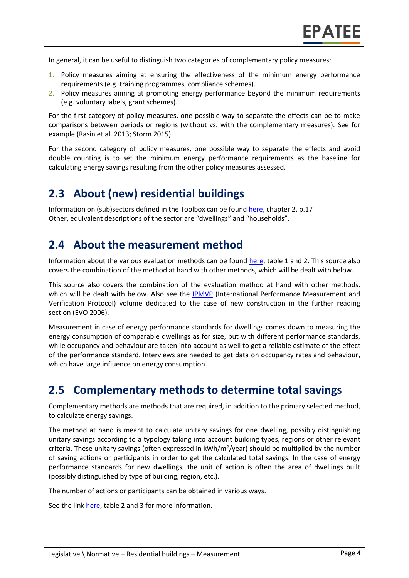In general, it can be useful to distinguish two categories of complementary policy measures:

- 1. Policy measures aiming at ensuring the effectiveness of the minimum energy performance requirements (e.g. training programmes, compliance schemes).
- 2. Policy measures aiming at promoting energy performance beyond the minimum requirements (e.g. voluntary labels, grant schemes).

For the first category of policy measures, one possible way to separate the effects can be to make comparisons between periods or regions (without vs. with the complementary measures). See for example (Rasin et al. 2013; Storm 2015).

For the second category of policy measures, one possible way to separate the effects and avoid double counting is to set the minimum energy performance requirements as the baseline for calculating energy savings resulting from the other policy measures assessed.

### **2.3 About (new) residential buildings**

Information on (sub)sectors defined in the Toolbox can be found [here,](https://www.epatee-toolbox.eu/wp-content/uploads/2018/10/Definitions-and-typologies-related-to-energy-savings-evaluation.pdf) chapter 2, p.17 Other, equivalent descriptions of the sector are "dwellings" and "households".

#### **2.4 About the measurement method**

Information about the various evaluation methods can be found [here,](https://www.epatee-toolbox.eu/wp-content/uploads/2019/04/Saving_calculation_methods_for_EPATEE_Toobox_2019_04_24.pdf) table 1 and 2. This source also covers the combination of the method at hand with other methods, which will be dealt with below.

This source also covers the combination of the evaluation method at hand with other methods, which will be dealt with below. Also see the **IPMVP** (International Performance Measurement and Verification Protocol) volume dedicated to the case of new construction in the further reading section (EVO 2006).

Measurement in case of energy performance standards for dwellings comes down to measuring the energy consumption of comparable dwellings as for size, but with different performance standards, while occupancy and behaviour are taken into account as well to get a reliable estimate of the effect of the performance standard. Interviews are needed to get data on occupancy rates and behaviour, which have large influence on energy consumption.

### **2.5 Complementary methods to determine total savings**

Complementary methods are methods that are required, in addition to the primary selected method, to calculate energy savings.

The method at hand is meant to calculate unitary savings for one dwelling, possibly distinguishing unitary savings according to a typology taking into account building types, regions or other relevant criteria. These unitary savings (often expressed in kWh/m²/year) should be multiplied by the number of saving actions or participants in order to get the calculated total savings. In the case of energy performance standards for new dwellings, the unit of action is often the area of dwellings built (possibly distinguished by type of building, region, etc.).

The number of actions or participants can be obtained in various ways.

See the link [here,](https://www.epatee-toolbox.eu/wp-content/uploads/2019/04/Saving_calculation_methods_for_EPATEE_Toobox_2019_04_24.pdf) table 2 and 3 for more information.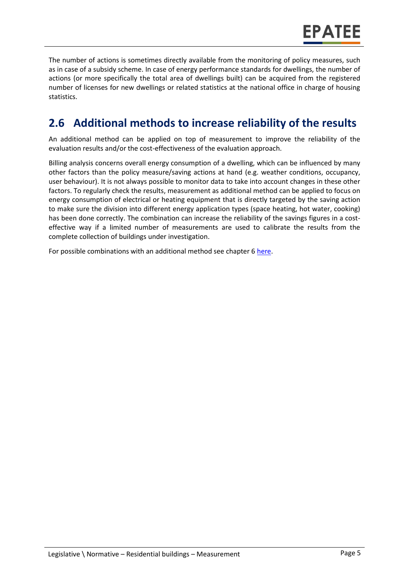

The number of actions is sometimes directly available from the monitoring of policy measures, such as in case of a subsidy scheme. In case of energy performance standards for dwellings, the number of actions (or more specifically the total area of dwellings built) can be acquired from the registered number of licenses for new dwellings or related statistics at the national office in charge of housing statistics.

# **2.6 Additional methods to increase reliability of the results**

An additional method can be applied on top of measurement to improve the reliability of the evaluation results and/or the cost-effectiveness of the evaluation approach.

Billing analysis concerns overall energy consumption of a dwelling, which can be influenced by many other factors than the policy measure/saving actions at hand (e.g. weather conditions, occupancy, user behaviour). It is not always possible to monitor data to take into account changes in these other factors. To regularly check the results, measurement as additional method can be applied to focus on energy consumption of electrical or heating equipment that is directly targeted by the saving action to make sure the division into different energy application types (space heating, hot water, cooking) has been done correctly. The combination can increase the reliability of the savings figures in a costeffective way if a limited number of measurements are used to calibrate the results from the complete collection of buildings under investigation.

For possible combinations with an additional method see chapter 6 [here.](https://www.epatee-toolbox.eu/wp-content/uploads/2019/04/Saving_calculation_methods_for_EPATEE_Toobox_2019_04_24.pdf)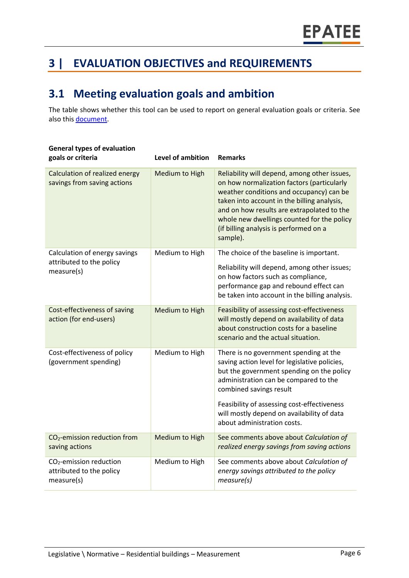# **3 | EVALUATION OBJECTIVES and REQUIREMENTS**

## **3.1 Meeting evaluation goals and ambition**

The table shows whether this tool can be used to report on general evaluation goals or criteria. See also this [document.](https://www.epatee-lib.eu/media/docs/D4_EMEEES_Final.pdf)

| <b>General types of evaluation</b><br>goals or criteria                       | <b>Level of ambition</b> | <b>Remarks</b>                                                                                                                                                                                                                                                                                                                          |
|-------------------------------------------------------------------------------|--------------------------|-----------------------------------------------------------------------------------------------------------------------------------------------------------------------------------------------------------------------------------------------------------------------------------------------------------------------------------------|
| Calculation of realized energy<br>savings from saving actions                 | Medium to High           | Reliability will depend, among other issues,<br>on how normalization factors (particularly<br>weather conditions and occupancy) can be<br>taken into account in the billing analysis,<br>and on how results are extrapolated to the<br>whole new dwellings counted for the policy<br>(if billing analysis is performed on a<br>sample). |
| Calculation of energy savings                                                 | Medium to High           | The choice of the baseline is important.                                                                                                                                                                                                                                                                                                |
| attributed to the policy<br>measure(s)                                        |                          | Reliability will depend, among other issues;<br>on how factors such as compliance,<br>performance gap and rebound effect can<br>be taken into account in the billing analysis.                                                                                                                                                          |
| Cost-effectiveness of saving<br>action (for end-users)                        | Medium to High           | Feasibility of assessing cost-effectiveness<br>will mostly depend on availability of data<br>about construction costs for a baseline<br>scenario and the actual situation.                                                                                                                                                              |
| Cost-effectiveness of policy<br>(government spending)                         | Medium to High           | There is no government spending at the<br>saving action level for legislative policies,<br>but the government spending on the policy<br>administration can be compared to the<br>combined savings result                                                                                                                                |
|                                                                               |                          | Feasibility of assessing cost-effectiveness<br>will mostly depend on availability of data<br>about administration costs.                                                                                                                                                                                                                |
| CO <sub>2</sub> -emission reduction from<br>saving actions                    | Medium to High           | See comments above about Calculation of<br>realized energy savings from saving actions                                                                                                                                                                                                                                                  |
| CO <sub>2</sub> -emission reduction<br>attributed to the policy<br>measure(s) | Medium to High           | See comments above about Calculation of<br>energy savings attributed to the policy<br>measure(s)                                                                                                                                                                                                                                        |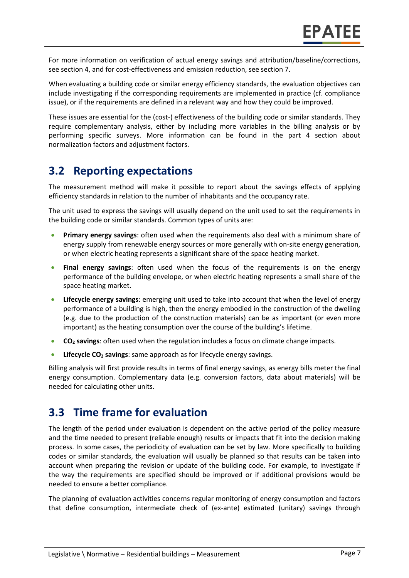For more information on verification of actual energy savings and attribution/baseline/corrections, see section 4, and for cost-effectiveness and emission reduction, see section 7.

When evaluating a building code or similar energy efficiency standards, the evaluation objectives can include investigating if the corresponding requirements are implemented in practice (cf. compliance issue), or if the requirements are defined in a relevant way and how they could be improved.

These issues are essential for the (cost-) effectiveness of the building code or similar standards. They require complementary analysis, either by including more variables in the billing analysis or by performing specific surveys. More information can be found in the part 4 section about normalization factors and adjustment factors.

## **3.2 Reporting expectations**

The measurement method will make it possible to report about the savings effects of applying efficiency standards in relation to the number of inhabitants and the occupancy rate.

The unit used to express the savings will usually depend on the unit used to set the requirements in the building code or similar standards. Common types of units are:

- **Primary energy savings**: often used when the requirements also deal with a minimum share of energy supply from renewable energy sources or more generally with on-site energy generation, or when electric heating represents a significant share of the space heating market.
- **Final energy savings**: often used when the focus of the requirements is on the energy performance of the building envelope, or when electric heating represents a small share of the space heating market.
- **Lifecycle energy savings**: emerging unit used to take into account that when the level of energy performance of a building is high, then the energy embodied in the construction of the dwelling (e.g. due to the production of the construction materials) can be as important (or even more important) as the heating consumption over the course of the building's lifetime.
- **CO<sup>2</sup> savings**: often used when the regulation includes a focus on climate change impacts.
- **Lifecycle CO<sup>2</sup> savings**: same approach as for lifecycle energy savings.

Billing analysis will first provide results in terms of final energy savings, as energy bills meter the final energy consumption. Complementary data (e.g. conversion factors, data about materials) will be needed for calculating other units.

### **3.3 Time frame for evaluation**

The length of the period under evaluation is dependent on the active period of the policy measure and the time needed to present (reliable enough) results or impacts that fit into the decision making process. In some cases, the periodicity of evaluation can be set by law. More specifically to building codes or similar standards, the evaluation will usually be planned so that results can be taken into account when preparing the revision or update of the building code. For example, to investigate if the way the requirements are specified should be improved or if additional provisions would be needed to ensure a better compliance.

The planning of evaluation activities concerns regular monitoring of energy consumption and factors that define consumption, intermediate check of (ex-ante) estimated (unitary) savings through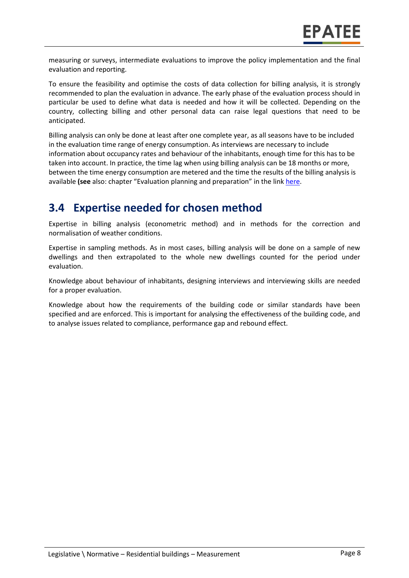measuring or surveys, intermediate evaluations to improve the policy implementation and the final evaluation and reporting.

To ensure the feasibility and optimise the costs of data collection for billing analysis, it is strongly recommended to plan the evaluation in advance. The early phase of the evaluation process should in particular be used to define what data is needed and how it will be collected. Depending on the country, collecting billing and other personal data can raise legal questions that need to be anticipated.

Billing analysis can only be done at least after one complete year, as all seasons have to be included in the evaluation time range of energy consumption. As interviews are necessary to include information about occupancy rates and behaviour of the inhabitants, enough time for this has to be taken into account. In practice, the time lag when using billing analysis can be 18 months or more, between the time energy consumption are metered and the time the results of the billing analysis is available (see also: chapter "Evaluation planning and preparation" in the link [here.](https://www.epatee-toolbox.eu/wp-content/uploads/2019/04/epatee_integrating_evaluation_into_policy_cycle.pdf)

### **3.4 Expertise needed for chosen method**

Expertise in billing analysis (econometric method) and in methods for the correction and normalisation of weather conditions.

Expertise in sampling methods. As in most cases, billing analysis will be done on a sample of new dwellings and then extrapolated to the whole new dwellings counted for the period under evaluation.

Knowledge about behaviour of inhabitants, designing interviews and interviewing skills are needed for a proper evaluation.

Knowledge about how the requirements of the building code or similar standards have been specified and are enforced. This is important for analysing the effectiveness of the building code, and to analyse issues related to compliance, performance gap and rebound effect.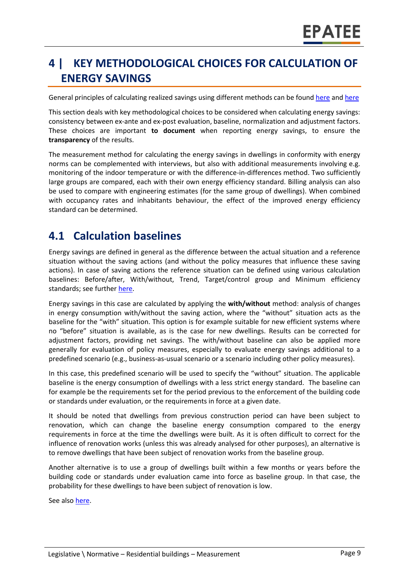# **4 | KEY METHODOLOGICAL CHOICES FOR CALCULATION OF ENERGY SAVINGS**

General principles of calculating realized savings using different methods can be found [here](https://www.epatee-lib.eu/media/docs/D4_EMEEES_Final.pdf) and [here](https://www.epatee-lib.eu/media/docs/EMEEES_WP3_Report_Final.pdf)

This section deals with key methodological choices to be considered when calculating energy savings: consistency between ex-ante and ex-post evaluation, baseline, normalization and adjustment factors. These choices are important **to document** when reporting energy savings, to ensure the **transparency** of the results.

The measurement method for calculating the energy savings in dwellings in conformity with energy norms can be complemented with interviews, but also with additional measurements involving e.g. monitoring of the indoor temperature or with the difference-in-differences method. Two sufficiently large groups are compared, each with their own energy efficiency standard. Billing analysis can also be used to compare with engineering estimates (for the same group of dwellings). When combined with occupancy rates and inhabitants behaviour, the effect of the improved energy efficiency standard can be determined.

### **4.1 Calculation baselines**

Energy savings are defined in general as the difference between the actual situation and a reference situation without the saving actions (and without the policy measures that influence these saving actions). In case of saving actions the reference situation can be defined using various calculation baselines: Before/after, With/without, Trend, Target/control group and Minimum efficiency standards; see further [here.](https://www.epatee-toolbox.eu/wp-content/uploads/2019/04/Application_of_KB_savings_baselines_and_correction_factors_in_the_Toolbox_and_PSMCs_190418_.pdf)

Energy savings in this case are calculated by applying the **with/without** method: analysis of changes in energy consumption with/without the saving action, where the "without" situation acts as the baseline for the "with" situation. This option is for example suitable for new efficient systems where no "before" situation is available, as is the case for new dwellings. Results can be corrected for adjustment factors, providing net savings. The with/without baseline can also be applied more generally for evaluation of policy measures, especially to evaluate energy savings additional to a predefined scenario (e.g., business-as-usual scenario or a scenario including other policy measures).

In this case, this predefined scenario will be used to specify the "without" situation. The applicable baseline is the energy consumption of dwellings with a less strict energy standard. The baseline can for example be the requirements set for the period previous to the enforcement of the building code or standards under evaluation, or the requirements in force at a given date.

It should be noted that dwellings from previous construction period can have been subject to renovation, which can change the baseline energy consumption compared to the energy requirements in force at the time the dwellings were built. As it is often difficult to correct for the influence of renovation works (unless this was already analysed for other purposes), an alternative is to remove dwellings that have been subject of renovation works from the baseline group.

Another alternative is to use a group of dwellings built within a few months or years before the building code or standards under evaluation came into force as baseline group. In that case, the probability for these dwellings to have been subject of renovation is low.

See also [here.](https://www.epatee-toolbox.eu/wp-content/uploads/2019/04/Application_of_KB_savings_baselines_and_correction_factors_in_the_Toolbox_and_PSMCs_190418_.pdf)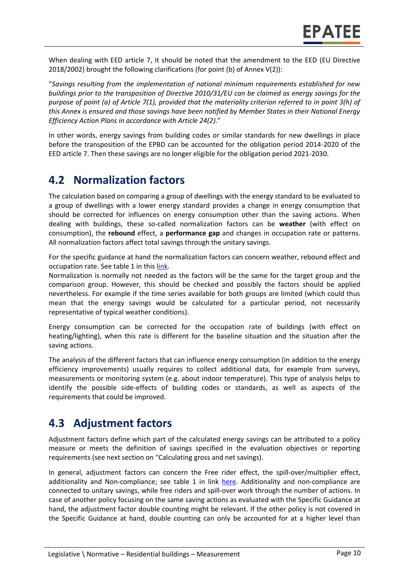When dealing with EED article 7, it should be noted that the amendment to the EED (EU Directive 2018/2002) brought the following clarifications (for point (b) of Annex V(2)):

"*Savings resulting from the implementation of national minimum requirements established for new buildings prior to the transposition of Directive 2010/31/EU can be claimed as energy savings for the purpose of point (a) of Article 7(1), provided that the materiality criterion referred to in point 3(h) of this Annex is ensured and those savings have been notified by Member States in their National Energy Efficiency Action Plans in accordance with Article 24(2)*."

In other words, energy savings from building codes or similar standards for new dwellings in place before the transposition of the EPBD can be accounted for the obligation period 2014-2020 of the EED article 7. Then these savings are no longer eligible for the obligation period 2021-2030.

### **4.2 Normalization factors**

The calculation based on comparing a group of dwellings with the energy standard to be evaluated to a group of dwellings with a lower energy standard provides a change in energy consumption that should be corrected for influences on energy consumption other than the saving actions. When dealing with buildings, these so-called normalization factors can be **weather** (with effect on consumption), the **rebound** effect, a **performance gap** and changes in occupation rate or patterns. All normalization factors affect total savings through the unitary savings.

For the specific guidance at hand the normalization factors can concern weather, rebound effect and occupation rate. See table 1 in this [link.](https://www.epatee-toolbox.eu/wp-content/uploads/2019/04/Saving_calculation_methods_for_EPATEE_Toobox_2019_04_24.pdf)

Normalization is normally not needed as the factors will be the same for the target group and the comparison group. However, this should be checked and possibly the factors should be applied nevertheless. For example if the time series available for both groups are limited (which could thus mean that the energy savings would be calculated for a particular period, not necessarily representative of typical weather conditions).

Energy consumption can be corrected for the occupation rate of buildings (with effect on heating/lighting), when this rate is different for the baseline situation and the situation after the saving actions.

The analysis of the different factors that can influence energy consumption (in addition to the energy efficiency improvements) usually requires to collect additional data, for example from surveys, measurements or monitoring system (e.g. about indoor temperature). This type of analysis helps to identify the possible side-effects of building codes or standards, as well as aspects of the requirements that could be improved.

### **4.3 Adjustment factors**

Adjustment factors define which part of the calculated energy savings can be attributed to a policy measure or meets the definition of savings specified in the evaluation objectives or reporting requirements (see next section on "Calculating gross and net savings).

In general, adjustment factors can concern the Free rider effect, the spill-over/multiplier effect, additionality and Non-compliance; see table 1 in link [here.](https://www.epatee-toolbox.eu/evaluation-principles-and-methods/general-principles/saving-calculation-methods-and-their-application-in-the-epatee-toolbox/) Additionality and non-compliance are connected to unitary savings, while free riders and spill-over work through the number of actions. In case of another policy focusing on the same saving actions as evaluated with the Specific Guidance at hand, the adjustment factor double counting might be relevant. If the other policy is not covered in the Specific Guidance at hand, double counting can only be accounted for at a higher level than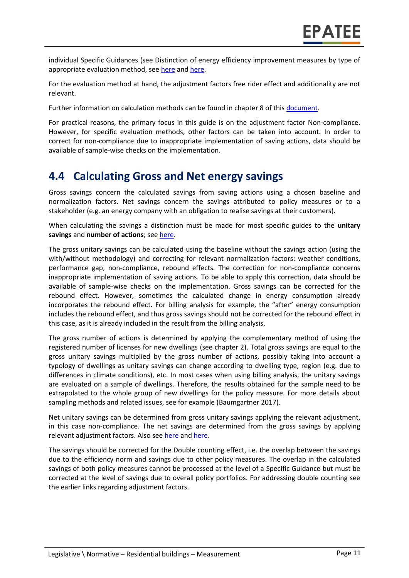individual Specific Guidances (see Distinction of energy efficiency improvement measures by type of appropriate evaluation method, see [here](https://www.epatee-lib.eu/media/docs/EMEEES_WP2_D1_Assessment_existing_evaluation_2008-04-21.pdf) an[d here.](https://www.academia.edu/14979876/Evaluating_energy_efficiency_policy_measures_and_DSM_programmes)

For the evaluation method at hand, the adjustment factors free rider effect and additionality are not relevant.

Further information on calculation methods can be found in chapter 8 of thi[s document.](https://www.epatee-toolbox.eu/wp-content/uploads/2019/04/Saving_calculation_methods_for_EPATEE_Toobox_2019_04_24.pdf)

For practical reasons, the primary focus in this guide is on the adjustment factor Non-compliance. However, for specific evaluation methods, other factors can be taken into account. In order to correct for non-compliance due to inappropriate implementation of saving actions, data should be available of sample-wise checks on the implementation.

### **4.4 Calculating Gross and Net energy savings**

Gross savings concern the calculated savings from saving actions using a chosen baseline and normalization factors. Net savings concern the savings attributed to policy measures or to a stakeholder (e.g. an energy company with an obligation to realise savings at their customers).

When calculating the savings a distinction must be made for most specific guides to the **unitary savings** and **number of actions**; see [here.](https://ec.europa.eu/energy/intelligent/projects/en/projects/emeees)

The gross unitary savings can be calculated using the baseline without the savings action (using the with/without methodology) and correcting for relevant normalization factors: weather conditions, performance gap, non-compliance, rebound effects. The correction for non-compliance concerns inappropriate implementation of saving actions. To be able to apply this correction, data should be available of sample-wise checks on the implementation. Gross savings can be corrected for the rebound effect. However, sometimes the calculated change in energy consumption already incorporates the rebound effect. For billing analysis for example, the "after" energy consumption includes the rebound effect, and thus gross savings should not be corrected for the rebound effect in this case, as it is already included in the result from the billing analysis.

The gross number of actions is determined by applying the complementary method of using the registered number of licenses for new dwellings (see chapter 2). Total gross savings are equal to the gross unitary savings multiplied by the gross number of actions, possibly taking into account a typology of dwellings as unitary savings can change according to dwelling type, region (e.g. due to differences in climate conditions), etc. In most cases when using billing analysis, the unitary savings are evaluated on a sample of dwellings. Therefore, the results obtained for the sample need to be extrapolated to the whole group of new dwellings for the policy measure. For more details about sampling methods and related issues, see for example (Baumgartner 2017).

Net unitary savings can be determined from gross unitary savings applying the relevant adjustment, in this case non-compliance. The net savings are determined from the gross savings by applying relevant adjustment factors. Also see [here](https://www.academia.edu/14979876/Evaluating_energy_efficiency_policy_measures_and_DSM_programmes) and [here.](https://www.epatee-lib.eu/media/docs/D4_EMEEES_Final.pdf)

The savings should be corrected for the Double counting effect, i.e. the overlap between the savings due to the efficiency norm and savings due to other policy measures. The overlap in the calculated savings of both policy measures cannot be processed at the level of a Specific Guidance but must be corrected at the level of savings due to overall policy portfolios. For addressing double counting see the earlier links regarding adjustment factors.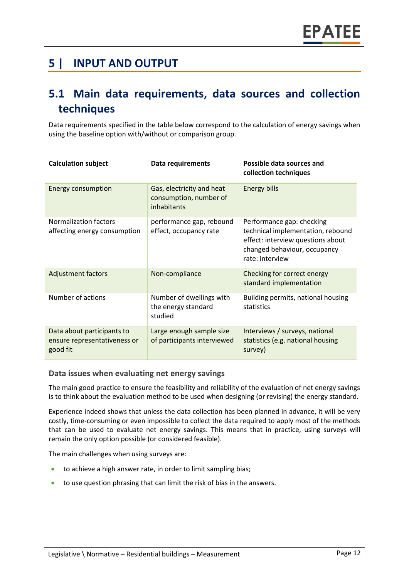### **5 | INPUT AND OUTPUT**

### **5.1 Main data requirements, data sources and collection techniques**

Data requirements specified in the table below correspond to the calculation of energy savings when using the baseline option with/without or comparison group.

| <b>Calculation subject</b>                                             | Data requirements                                                  | Possible data sources and<br>collection techniques                                                                                                     |
|------------------------------------------------------------------------|--------------------------------------------------------------------|--------------------------------------------------------------------------------------------------------------------------------------------------------|
| <b>Energy consumption</b>                                              | Gas, electricity and heat<br>consumption, number of<br>inhabitants | <b>Energy bills</b>                                                                                                                                    |
| Normalization factors<br>affecting energy consumption                  | performance gap, rebound<br>effect, occupancy rate                 | Performance gap: checking<br>technical implementation, rebound<br>effect: interview questions about<br>changed behaviour, occupancy<br>rate: interview |
| <b>Adjustment factors</b>                                              | Non-compliance                                                     | Checking for correct energy<br>standard implementation                                                                                                 |
| Number of actions                                                      | Number of dwellings with<br>the energy standard<br>studied         | Building permits, national housing<br>statistics                                                                                                       |
| Data about participants to<br>ensure representativeness or<br>good fit | Large enough sample size<br>of participants interviewed            | Interviews / surveys, national<br>statistics (e.g. national housing<br>survey)                                                                         |

#### **Data issues when evaluating net energy savings**

The main good practice to ensure the feasibility and reliability of the evaluation of net energy savings is to think about the evaluation method to be used when designing (or revising) the energy standard.

Experience indeed shows that unless the data collection has been planned in advance, it will be very costly, time-consuming or even impossible to collect the data required to apply most of the methods that can be used to evaluate net energy savings. This means that in practice, using surveys will remain the only option possible (or considered feasible).

The main challenges when using surveys are:

- to achieve a high answer rate, in order to limit sampling bias;
- to use question phrasing that can limit the risk of bias in the answers.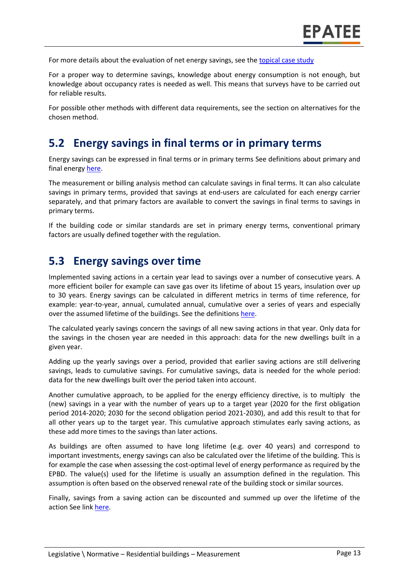For more details about the evaluation of net energy savings, see the [topical case study](https://www.epatee-toolbox.eu/wp-content/uploads/2018/10/epatee_topical_case_study_evaluating_net_energy_savings.pdf)

For a proper way to determine savings, knowledge about energy consumption is not enough, but knowledge about occupancy rates is needed as well. This means that surveys have to be carried out for reliable results.

For possible other methods with different data requirements, see the section on alternatives for the chosen method.

### **5.2 Energy savings in final terms or in primary terms**

Energy savings can be expressed in final terms or in primary terms See definitions about primary and final energy [here.](https://www.epatee-toolbox.eu/wp-content/uploads/2018/10/Definitions-and-typologies-related-to-energy-savings-evaluation.pdf)

The measurement or billing analysis method can calculate savings in final terms. It can also calculate savings in primary terms, provided that savings at end-users are calculated for each energy carrier separately, and that primary factors are available to convert the savings in final terms to savings in primary terms.

If the building code or similar standards are set in primary energy terms, conventional primary factors are usually defined together with the regulation.

### **5.3 Energy savings over time**

Implemented saving actions in a certain year lead to savings over a number of consecutive years. A more efficient boiler for example can save gas over its lifetime of about 15 years, insulation over up to 30 years. Energy savings can be calculated in different metrics in terms of time reference, for example: year-to-year, annual, cumulated annual, cumulative over a series of years and especially over the assumed lifetime of the buildings. See the definition[s here.](https://www.epatee-toolbox.eu/wp-content/uploads/2018/10/Definitions-and-typologies-related-to-energy-savings-evaluation.pdf)

The calculated yearly savings concern the savings of all new saving actions in that year. Only data for the savings in the chosen year are needed in this approach: data for the new dwellings built in a given year.

Adding up the yearly savings over a period, provided that earlier saving actions are still delivering savings, leads to cumulative savings. For cumulative savings, data is needed for the whole period: data for the new dwellings built over the period taken into account.

Another cumulative approach, to be applied for the energy efficiency directive, is to multiply the (new) savings in a year with the number of years up to a target year (2020 for the first obligation period 2014-2020; 2030 for the second obligation period 2021-2030), and add this result to that for all other years up to the target year. This cumulative approach stimulates early saving actions, as these add more times to the savings than later actions.

As buildings are often assumed to have long lifetime (e.g. over 40 years) and correspond to important investments, energy savings can also be calculated over the lifetime of the building. This is for example the case when assessing the cost-optimal level of energy performance as required by the EPBD. The value(s) used for the lifetime is usually an assumption defined in the regulation. This assumption is often based on the observed renewal rate of the building stock or similar sources.

Finally, savings from a saving action can be discounted and summed up over the lifetime of the action See link [here.](https://www.epatee-toolbox.eu/wp-content/uploads/2018/10/Definitions-and-typologies-related-to-energy-savings-evaluation.pdf)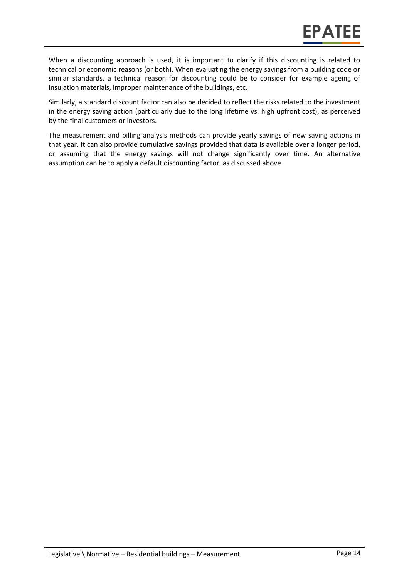When a discounting approach is used, it is important to clarify if this discounting is related to technical or economic reasons (or both). When evaluating the energy savings from a building code or similar standards, a technical reason for discounting could be to consider for example ageing of insulation materials, improper maintenance of the buildings, etc.

Similarly, a standard discount factor can also be decided to reflect the risks related to the investment in the energy saving action (particularly due to the long lifetime vs. high upfront cost), as perceived by the final customers or investors.

The measurement and billing analysis methods can provide yearly savings of new saving actions in that year. It can also provide cumulative savings provided that data is available over a longer period, or assuming that the energy savings will not change significantly over time. An alternative assumption can be to apply a default discounting factor, as discussed above.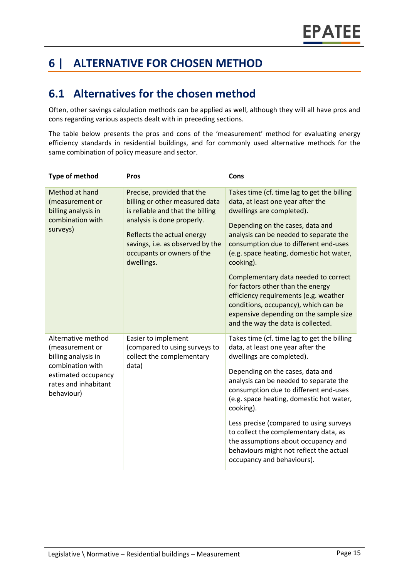# **6 | ALTERNATIVE FOR CHOSEN METHOD**

### **6.1 Alternatives for the chosen method**

Often, other savings calculation methods can be applied as well, although they will all have pros and cons regarding various aspects dealt with in preceding sections.

The table below presents the pros and cons of the 'measurement' method for evaluating energy efficiency standards in residential buildings, and for commonly used alternative methods for the same combination of policy measure and sector.

| <b>Type of method</b>                                                                                                                         | <b>Pros</b>                                                                                                                                                                                                                                  | Cons                                                                                                                                                                                                                                                                                                                                                                                                                                                                                                                                        |
|-----------------------------------------------------------------------------------------------------------------------------------------------|----------------------------------------------------------------------------------------------------------------------------------------------------------------------------------------------------------------------------------------------|---------------------------------------------------------------------------------------------------------------------------------------------------------------------------------------------------------------------------------------------------------------------------------------------------------------------------------------------------------------------------------------------------------------------------------------------------------------------------------------------------------------------------------------------|
| Method at hand<br>(measurement or<br>billing analysis in<br>combination with<br>surveys)                                                      | Precise, provided that the<br>billing or other measured data<br>is reliable and that the billing<br>analysis is done properly.<br>Reflects the actual energy<br>savings, i.e. as observed by the<br>occupants or owners of the<br>dwellings. | Takes time (cf. time lag to get the billing<br>data, at least one year after the<br>dwellings are completed).<br>Depending on the cases, data and<br>analysis can be needed to separate the<br>consumption due to different end-uses<br>(e.g. space heating, domestic hot water,<br>cooking).<br>Complementary data needed to correct<br>for factors other than the energy<br>efficiency requirements (e.g. weather<br>conditions, occupancy), which can be<br>expensive depending on the sample size<br>and the way the data is collected. |
| Alternative method<br>(measurement or<br>billing analysis in<br>combination with<br>estimated occupancy<br>rates and inhabitant<br>behaviour) | Easier to implement<br>(compared to using surveys to<br>collect the complementary<br>data)                                                                                                                                                   | Takes time (cf. time lag to get the billing<br>data, at least one year after the<br>dwellings are completed).<br>Depending on the cases, data and<br>analysis can be needed to separate the<br>consumption due to different end-uses<br>(e.g. space heating, domestic hot water,<br>cooking).<br>Less precise (compared to using surveys<br>to collect the complementary data, as<br>the assumptions about occupancy and<br>behaviours might not reflect the actual<br>occupancy and behaviours).                                           |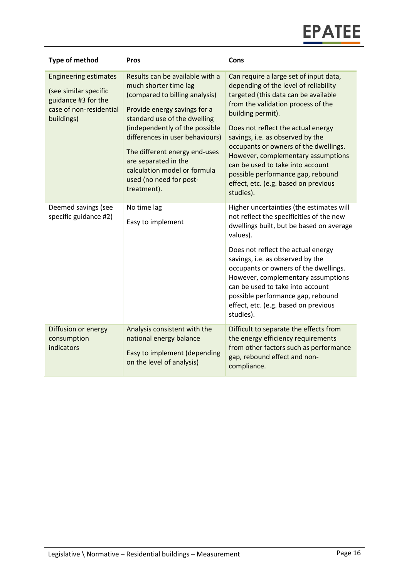| <b>Type of method</b>                                                                                                 | Pros                                                                                                                                                                                                                                                                                                                                                               | Cons                                                                                                                                                                                                                                                                                                                                                                                                                                                                      |
|-----------------------------------------------------------------------------------------------------------------------|--------------------------------------------------------------------------------------------------------------------------------------------------------------------------------------------------------------------------------------------------------------------------------------------------------------------------------------------------------------------|---------------------------------------------------------------------------------------------------------------------------------------------------------------------------------------------------------------------------------------------------------------------------------------------------------------------------------------------------------------------------------------------------------------------------------------------------------------------------|
| <b>Engineering estimates</b><br>(see similar specific<br>guidance #3 for the<br>case of non-residential<br>buildings) | Results can be available with a<br>much shorter time lag<br>(compared to billing analysis)<br>Provide energy savings for a<br>standard use of the dwelling<br>(independently of the possible<br>differences in user behaviours)<br>The different energy end-uses<br>are separated in the<br>calculation model or formula<br>used (no need for post-<br>treatment). | Can require a large set of input data,<br>depending of the level of reliability<br>targeted (this data can be available<br>from the validation process of the<br>building permit).<br>Does not reflect the actual energy<br>savings, i.e. as observed by the<br>occupants or owners of the dwellings.<br>However, complementary assumptions<br>can be used to take into account<br>possible performance gap, rebound<br>effect, etc. (e.g. based on previous<br>studies). |
| Deemed savings (see<br>specific guidance #2)                                                                          | No time lag<br>Easy to implement                                                                                                                                                                                                                                                                                                                                   | Higher uncertainties (the estimates will<br>not reflect the specificities of the new<br>dwellings built, but be based on average<br>values).<br>Does not reflect the actual energy<br>savings, i.e. as observed by the<br>occupants or owners of the dwellings.<br>However, complementary assumptions<br>can be used to take into account<br>possible performance gap, rebound<br>effect, etc. (e.g. based on previous<br>studies).                                       |
| Diffusion or energy<br>consumption<br>indicators                                                                      | Analysis consistent with the<br>national energy balance<br>Easy to implement (depending<br>on the level of analysis)                                                                                                                                                                                                                                               | Difficult to separate the effects from<br>the energy efficiency requirements<br>from other factors such as performance<br>gap, rebound effect and non-<br>compliance.                                                                                                                                                                                                                                                                                                     |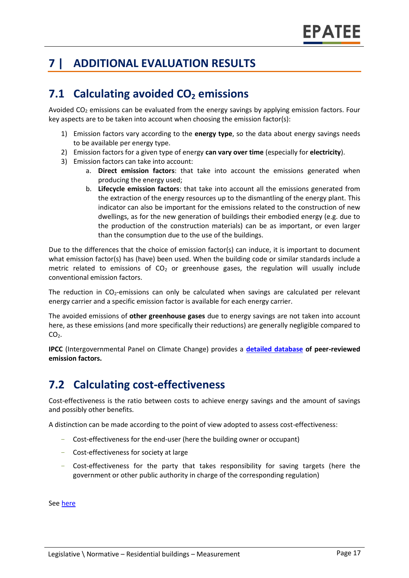# **7 | ADDITIONAL EVALUATION RESULTS**

# **7.1 Calculating avoided CO<sup>2</sup> emissions**

Avoided  $CO<sub>2</sub>$  emissions can be evaluated from the energy savings by applying emission factors. Four key aspects are to be taken into account when choosing the emission factor(s):

- 1) Emission factors vary according to the **energy type**, so the data about energy savings needs to be available per energy type.
- 2) Emission factors for a given type of energy **can vary over time** (especially for **electricity**).
- 3) Emission factors can take into account:
	- a. **Direct emission factors**: that take into account the emissions generated when producing the energy used;
	- b. **Lifecycle emission factors**: that take into account all the emissions generated from the extraction of the energy resources up to the dismantling of the energy plant. This indicator can also be important for the emissions related to the construction of new dwellings, as for the new generation of buildings their embodied energy (e.g. due to the production of the construction materials) can be as important, or even larger than the consumption due to the use of the buildings.

Due to the differences that the choice of emission factor(s) can induce, it is important to document what emission factor(s) has (have) been used. When the building code or similar standards include a metric related to emissions of  $CO<sub>2</sub>$  or greenhouse gases, the regulation will usually include conventional emission factors.

The reduction in  $CO<sub>2</sub>$ -emissions can only be calculated when savings are calculated per relevant energy carrier and a specific emission factor is available for each energy carrier.

The avoided emissions of **other greenhouse gases** due to energy savings are not taken into account here, as these emissions (and more specifically their reductions) are generally negligible compared to  $CO<sub>2</sub>$ .

**IPCC** (Intergovernmental Panel on Climate Change) provides a **[detailed database](https://www.ipcc-nggip.iges.or.jp/EFDB/main.php) of peer-reviewed emission factors.**

# **7.2 Calculating cost-effectiveness**

Cost-effectiveness is the ratio between costs to achieve energy savings and the amount of savings and possibly other benefits.

A distinction can be made according to the point of view adopted to assess cost-effectiveness:

- Cost-effectiveness for the end-user (here the building owner or occupant)
- Cost-effectiveness for society at large
- Cost-effectiveness for the party that takes responsibility for saving targets (here the government or other public authority in charge of the corresponding regulation)

Se[e here](https://epatee.eu/sites/default/files/epatee_report_on_the_knowledge_base.pdf)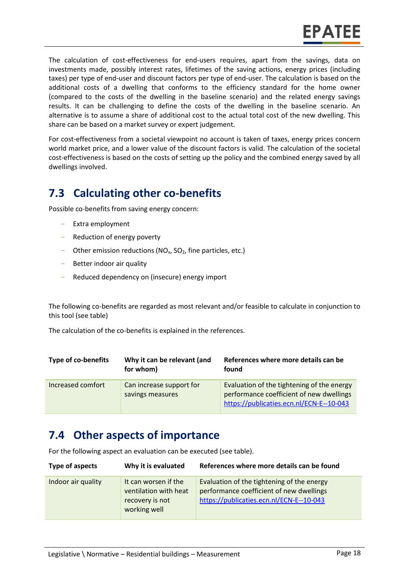The calculation of cost-effectiveness for end-users requires, apart from the savings, data on investments made, possibly interest rates, lifetimes of the saving actions, energy prices (including taxes) per type of end-user and discount factors per type of end-user. The calculation is based on the additional costs of a dwelling that conforms to the efficiency standard for the home owner (compared to the costs of the dwelling in the baseline scenario) and the related energy savings results. It can be challenging to define the costs of the dwelling in the baseline scenario. An alternative is to assume a share of additional cost to the actual total cost of the new dwelling. This share can be based on a market survey or expert judgement.

For cost-effectiveness from a societal viewpoint no account is taken of taxes, energy prices concern world market price, and a lower value of the discount factors is valid. The calculation of the societal cost-effectiveness is based on the costs of setting up the policy and the combined energy saved by all dwellings involved.

# **7.3 Calculating other co-benefits**

Possible co-benefits from saving energy concern:

- Extra employment
- Reduction of energy poverty
- Other emission reductions ( $NO<sub>x</sub>$ ,  $SO<sub>2</sub>$ , fine particles, etc.)
- Better indoor air quality
- Reduced dependency on (insecure) energy import

The following co-benefits are regarded as most relevant and/or feasible to calculate in conjunction to this tool (see table)

The calculation of the co-benefits is explained in the references.

| <b>Type of co-benefits</b> | Why it can be relevant (and<br>for whom)     | References where more details can be<br>found                                                                                      |
|----------------------------|----------------------------------------------|------------------------------------------------------------------------------------------------------------------------------------|
| Increased comfort          | Can increase support for<br>savings measures | Evaluation of the tightening of the energy<br>performance coefficient of new dwellings<br>https://publicaties.ecn.nl/ECN-E--10-043 |

### **7.4 Other aspects of importance**

For the following aspect an evaluation can be executed (see table).

| Type of aspects    | Why it is evaluated                                                              | References where more details can be found                                                                                         |
|--------------------|----------------------------------------------------------------------------------|------------------------------------------------------------------------------------------------------------------------------------|
| Indoor air quality | It can worsen if the<br>ventilation with heat<br>recovery is not<br>working well | Evaluation of the tightening of the energy<br>performance coefficient of new dwellings<br>https://publicaties.ecn.nl/ECN-E--10-043 |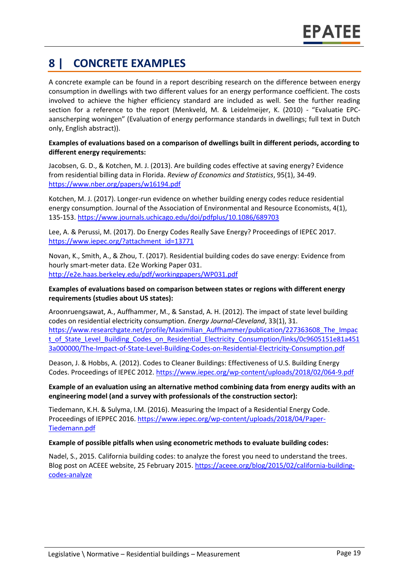# **8 | CONCRETE EXAMPLES**

A concrete example can be found in a report describing research on the difference between energy consumption in dwellings with two different values for an energy performance coefficient. The costs involved to achieve the higher efficiency standard are included as well. See the further reading section for a reference to the report (Menkveld, M. & Leidelmeijer, K. (2010) - "Evaluatie EPCaanscherping woningen" (Evaluation of energy performance standards in dwellings; full text in Dutch only, English abstract)).

#### **Examples of evaluations based on a comparison of dwellings built in different periods, according to different energy requirements:**

Jacobsen, G. D., & Kotchen, M. J. (2013). Are building codes effective at saving energy? Evidence from residential billing data in Florida. *Review of Economics and Statistics*, 95(1), 34-49. <https://www.nber.org/papers/w16194.pdf>

Kotchen, M. J. (2017). Longer-run evidence on whether building energy codes reduce residential energy consumption. Journal of the Association of Environmental and Resource Economists, 4(1), 135-153.<https://www.journals.uchicago.edu/doi/pdfplus/10.1086/689703>

Lee, A. & Perussi, M. (2017). Do Energy Codes Really Save Energy? Proceedings of IEPEC 2017. [https://www.iepec.org/?attachment\\_id=13771](https://www.iepec.org/?attachment_id=13771)

Novan, K., Smith, A., & Zhou, T. (2017). Residential building codes do save energy: Evidence from hourly smart-meter data. E2e Working Paper 031. <http://e2e.haas.berkeley.edu/pdf/workingpapers/WP031.pdf>

#### **Examples of evaluations based on comparison between states or regions with different energy requirements (studies about US states):**

Aroonruengsawat, A., Auffhammer, M., & Sanstad, A. H. (2012). The impact of state level building codes on residential electricity consumption. *Energy Journal-Cleveland*, 33(1), 31. [https://www.researchgate.net/profile/Maximilian\\_Auffhammer/publication/227363608\\_The\\_Impac](https://www.researchgate.net/profile/Maximilian_Auffhammer/publication/227363608_The_Impact_of_State_Level_Building_Codes_on_Residential_Electricity_Consumption/links/0c9605151e81a4513a000000/The-Impact-of-State-Level-Building-Codes-on-Residential-Electricity-Consumption.pdf) [t\\_of\\_State\\_Level\\_Building\\_Codes\\_on\\_Residential\\_Electricity\\_Consumption/links/0c9605151e81a451](https://www.researchgate.net/profile/Maximilian_Auffhammer/publication/227363608_The_Impact_of_State_Level_Building_Codes_on_Residential_Electricity_Consumption/links/0c9605151e81a4513a000000/The-Impact-of-State-Level-Building-Codes-on-Residential-Electricity-Consumption.pdf) [3a000000/The-Impact-of-State-Level-Building-Codes-on-Residential-Electricity-Consumption.pdf](https://www.researchgate.net/profile/Maximilian_Auffhammer/publication/227363608_The_Impact_of_State_Level_Building_Codes_on_Residential_Electricity_Consumption/links/0c9605151e81a4513a000000/The-Impact-of-State-Level-Building-Codes-on-Residential-Electricity-Consumption.pdf)

Deason, J. & Hobbs, A. (2012). Codes to Cleaner Buildings: Effectiveness of U.S. Building Energy Codes. Proceedings of IEPEC 2012.<https://www.iepec.org/wp-content/uploads/2018/02/064-9.pdf>

#### **Example of an evaluation using an alternative method combining data from energy audits with an engineering model (and a survey with professionals of the construction sector):**

Tiedemann, K.H. & Sulyma, I.M. (2016). Measuring the Impact of a Residential Energy Code. Proceedings of IEPPEC 2016. [https://www.iepec.org/wp-content/uploads/2018/04/Paper-](https://www.iepec.org/wp-content/uploads/2018/04/Paper-Tiedemann.pdf)[Tiedemann.pdf](https://www.iepec.org/wp-content/uploads/2018/04/Paper-Tiedemann.pdf)

#### **Example of possible pitfalls when using econometric methods to evaluate building codes:**

Nadel, S., 2015. California building codes: to analyze the forest you need to understand the trees. Blog post on ACEEE website, 25 February 2015. [https://aceee.org/blog/2015/02/california-building](https://aceee.org/blog/2015/02/california-building-codes-analyze)[codes-analyze](https://aceee.org/blog/2015/02/california-building-codes-analyze)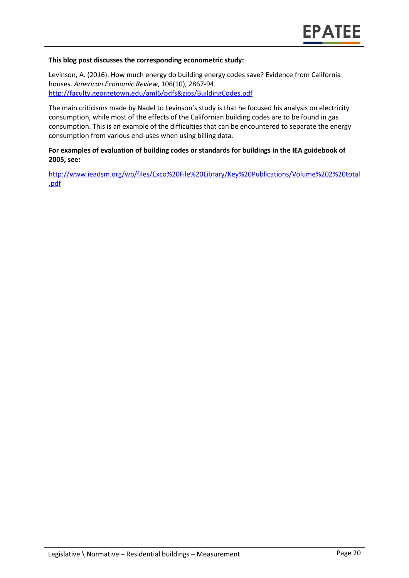#### **This blog post discusses the corresponding econometric study:**

Levinson, A. (2016). How much energy do building energy codes save? Evidence from California houses. *American Economic Review*, 106(10), 2867-94. <http://faculty.georgetown.edu/aml6/pdfs&zips/BuildingCodes.pdf>

The main criticisms made by Nadel to Levinson's study is that he focused his analysis on electricity consumption, while most of the effects of the Californian building codes are to be found in gas consumption. This is an example of the difficulties that can be encountered to separate the energy consumption from various end-uses when using billing data.

#### **For examples of evaluation of building codes or standards for buildings in the IEA guidebook of 2005, see:**

[http://www.ieadsm.org/wp/files/Exco%20File%20Library/Key%20Publications/Volume%202%20total](http://www.ieadsm.org/wp/files/Exco%20File%20Library/Key%20Publications/Volume%202%20total.pdf) [.pdf](http://www.ieadsm.org/wp/files/Exco%20File%20Library/Key%20Publications/Volume%202%20total.pdf)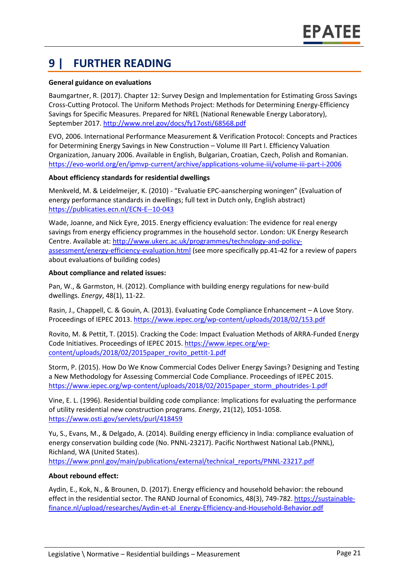# **9 | FURTHER READING**

#### **General guidance on evaluations**

Baumgartner, R. (2017). Chapter 12: Survey Design and Implementation for Estimating Gross Savings Cross-Cutting Protocol. The Uniform Methods Project: Methods for Determining Energy-Efficiency Savings for Specific Measures. Prepared for NREL (National Renewable Energy Laboratory), September 2017.<http://www.nrel.gov/docs/fy17osti/68568.pdf>

EVO, 2006. International Performance Measurement & Verification Protocol: Concepts and Practices for Determining Energy Savings in New Construction – Volume III Part I. Efficiency Valuation Organization, January 2006. Available in English, Bulgarian, Croatian, Czech, Polish and Romanian. <https://evo-world.org/en/ipmvp-current/archive/applications-volume-iii/volume-iii-part-i-2006>

#### **About efficiency standards for residential dwellings**

Menkveld, M. & Leidelmeijer, K. (2010) - "Evaluatie EPC-aanscherping woningen" (Evaluation of energy performance standards in dwellings; full text in Dutch only, English abstract) <https://publicaties.ecn.nl/ECN-E--10-043>

Wade, Joanne, and Nick Eyre, 2015. Energy efficiency evaluation: The evidence for real energy savings from energy efficiency programmes in the household sector. London: UK Energy Research Centre. Available at: [http://www.ukerc.ac.uk/programmes/technology-and-policy](http://www.ukerc.ac.uk/programmes/technology-and-policy-assessment/energy-efficiency-evaluation.html)[assessment/energy-efficiency-evaluation.html](http://www.ukerc.ac.uk/programmes/technology-and-policy-assessment/energy-efficiency-evaluation.html) (see more specifically pp.41-42 for a review of papers about evaluations of building codes)

#### **About compliance and related issues:**

Pan, W., & Garmston, H. (2012). Compliance with building energy regulations for new-build dwellings. *Energy*, 48(1), 11-22.

Rasin, J., Chappell, C. & Gouin, A. (2013). Evaluating Code Compliance Enhancement – A Love Story. Proceedings of IEPEC 2013[. https://www.iepec.org/wp-content/uploads/2018/02/153.pdf](https://www.iepec.org/wp-content/uploads/2018/02/153.pdf)

Rovito, M. & Pettit, T. (2015). Cracking the Code: Impact Evaluation Methods of ARRA-Funded Energy Code Initiatives. Proceedings of IEPEC 2015. [https://www.iepec.org/wp](https://www.iepec.org/wp-content/uploads/2018/02/2015paper_rovito_pettit-1.pdf)[content/uploads/2018/02/2015paper\\_rovito\\_pettit-1.pdf](https://www.iepec.org/wp-content/uploads/2018/02/2015paper_rovito_pettit-1.pdf)

Storm, P. (2015). How Do We Know Commercial Codes Deliver Energy Savings? Designing and Testing a New Methodology for Assessing Commercial Code Compliance. Proceedings of IEPEC 2015. [https://www.iepec.org/wp-content/uploads/2018/02/2015paper\\_storm\\_phoutrides-1.pdf](https://www.iepec.org/wp-content/uploads/2018/02/2015paper_storm_phoutrides-1.pdf)

Vine, E. L. (1996). Residential building code compliance: Implications for evaluating the performance of utility residential new construction programs. *Energy*, 21(12), 1051-1058. <https://www.osti.gov/servlets/purl/418459>

Yu, S., Evans, M., & Delgado, A. (2014). Building energy efficiency in India: compliance evaluation of energy conservation building code (No. PNNL-23217). Pacific Northwest National Lab.(PNNL), Richland, WA (United States).

[https://www.pnnl.gov/main/publications/external/technical\\_reports/PNNL-23217.pdf](https://www.pnnl.gov/main/publications/external/technical_reports/PNNL-23217.pdf)

#### **About rebound effect:**

Aydin, E., Kok, N., & Brounen, D. (2017). Energy efficiency and household behavior: the rebound effect in the residential sector. The RAND Journal of Economics, 48(3), 749-782. [https://sustainable](https://sustainable-finance.nl/upload/researches/Aydin-et-al_Energy-Efficiency-and-Household-Behavior.pdf)[finance.nl/upload/researches/Aydin-et-al\\_Energy-Efficiency-and-Household-Behavior.pdf](https://sustainable-finance.nl/upload/researches/Aydin-et-al_Energy-Efficiency-and-Household-Behavior.pdf)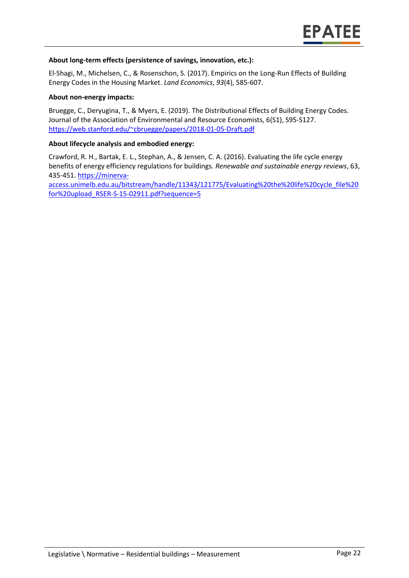#### **About long-term effects (persistence of savings, innovation, etc.):**

El-Shagi, M., Michelsen, C., & Rosenschon, S. (2017). Empirics on the Long-Run Effects of Building Energy Codes in the Housing Market. *Land Economics*, *93*(4), 585-607.

#### **About non-energy impacts:**

Bruegge, C., Deryugina, T., & Myers, E. (2019). The Distributional Effects of Building Energy Codes. Journal of the Association of Environmental and Resource Economists, 6(S1), S95-S127. <https://web.stanford.edu/~cbruegge/papers/2018-01-05-Draft.pdf>

#### **About lifecycle analysis and embodied energy:**

Crawford, R. H., Bartak, E. L., Stephan, A., & Jensen, C. A. (2016). Evaluating the life cycle energy benefits of energy efficiency regulations for buildings. *Renewable and sustainable energy reviews*, 63, 435-451. [https://minerva-](https://minerva-access.unimelb.edu.au/bitstream/handle/11343/121775/Evaluating%20the%20life%20cycle_file%20for%20upload_RSER-S-15-02911.pdf?sequence=5)

[access.unimelb.edu.au/bitstream/handle/11343/121775/Evaluating%20the%20life%20cycle\\_file%20](https://minerva-access.unimelb.edu.au/bitstream/handle/11343/121775/Evaluating%20the%20life%20cycle_file%20for%20upload_RSER-S-15-02911.pdf?sequence=5) [for%20upload\\_RSER-S-15-02911.pdf?sequence=5](https://minerva-access.unimelb.edu.au/bitstream/handle/11343/121775/Evaluating%20the%20life%20cycle_file%20for%20upload_RSER-S-15-02911.pdf?sequence=5)